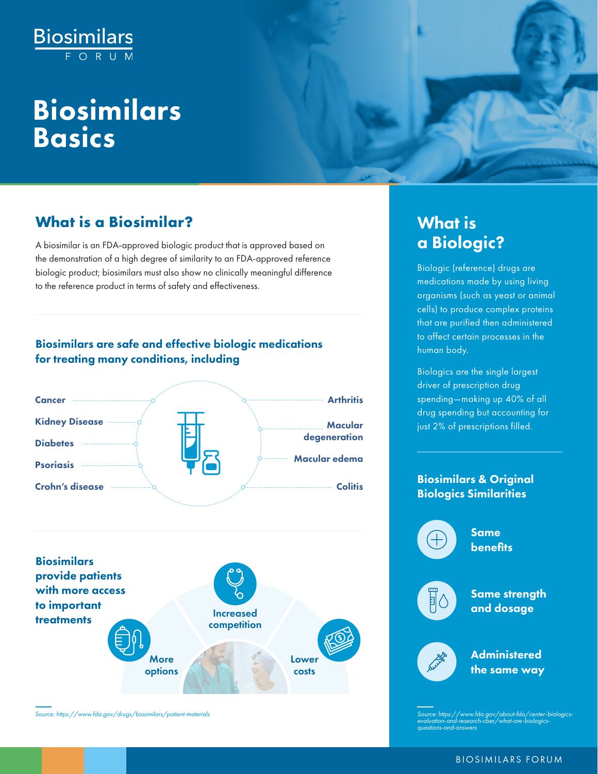# **Biosimilars**

## Biosimilars Basics

#### **The What is a Biosimilar?** The Most of the What is

A biosimilar is an FDA-approved biologic product that is approved based on **a controlled a Biologic?** the demonstration of a high degree of similarity to an FDA‐approved reference biologic product; biosimilars must also show no clinically meaningful difference to the reference product in terms of safety and effectiveness.

#### Biosimilars are safe and effective biologic medications for treating many conditions, including





*Source: https://www.fda.gov/drugs/biosimilars/patient-materials Source: https://www.fda.gov/about-fda/center-biologics-*

Biologic (reference) drugs are medications made by using living organisms (such as yeast or animal cells) to produce complex proteins that are purified then administered to affect certain processes in the human body.

Biologics are the single largest driver of prescription drug spending—making up 40% of all drug spending but accounting for just 2% of prescriptions filled.

#### Biosimilars & Original Biologics Similarities



*evaluation-and-research-cber/what-are-biologics-questions-and-answers*

#### BIOSIMILARS FORUM